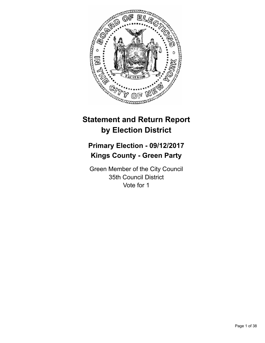

# **Statement and Return Report by Election District**

# **Primary Election - 09/12/2017 Kings County - Green Party**

Green Member of the City Council 35th Council District Vote for 1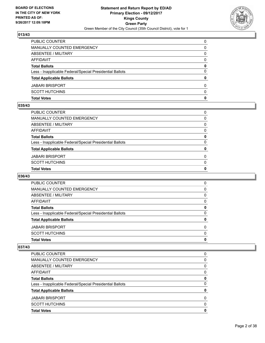

| <b>Total Votes</b>                                       | 0        |
|----------------------------------------------------------|----------|
| <b>SCOTT HUTCHINS</b>                                    | $\Omega$ |
| <b>JABARI BRISPORT</b>                                   | $\Omega$ |
| <b>Total Applicable Ballots</b>                          | 0        |
| Less - Inapplicable Federal/Special Presidential Ballots | $\Omega$ |
| <b>Total Ballots</b>                                     | 0        |
| <b>AFFIDAVIT</b>                                         | 0        |
| <b>ABSENTEE / MILITARY</b>                               | 0        |
| <b>MANUALLY COUNTED EMERGENCY</b>                        | 0        |
| PUBLIC COUNTER                                           | $\Omega$ |

## **035/43**

| <b>Total Votes</b>                                       | 0            |
|----------------------------------------------------------|--------------|
| SCOTT HUTCHINS                                           | $\mathbf{0}$ |
| JABARI BRISPORT                                          | 0            |
| <b>Total Applicable Ballots</b>                          | 0            |
| Less - Inapplicable Federal/Special Presidential Ballots | $\Omega$     |
| <b>Total Ballots</b>                                     | 0            |
| AFFIDAVIT                                                | $\Omega$     |
| ABSENTEE / MILITARY                                      | $\mathbf{0}$ |
| MANUALLY COUNTED EMERGENCY                               | $\Omega$     |
| PUBLIC COUNTER                                           | 0            |

# **036/43**

| <b>Total Votes</b>                                       | 0        |
|----------------------------------------------------------|----------|
| <b>SCOTT HUTCHINS</b>                                    | $\Omega$ |
| <b>JABARI BRISPORT</b>                                   | $\Omega$ |
| <b>Total Applicable Ballots</b>                          | 0        |
| Less - Inapplicable Federal/Special Presidential Ballots | 0        |
| <b>Total Ballots</b>                                     | 0        |
| AFFIDAVIT                                                | 0        |
| ABSENTEE / MILITARY                                      | 0        |
| MANUALLY COUNTED EMERGENCY                               | 0        |
| <b>PUBLIC COUNTER</b>                                    | 0        |

| <b>Total Votes</b>                                       | 0        |
|----------------------------------------------------------|----------|
| <b>SCOTT HUTCHINS</b>                                    | 0        |
| <b>JABARI BRISPORT</b>                                   | $\Omega$ |
| <b>Total Applicable Ballots</b>                          | 0        |
| Less - Inapplicable Federal/Special Presidential Ballots | 0        |
| <b>Total Ballots</b>                                     | 0        |
| AFFIDAVIT                                                | 0        |
| ABSENTEE / MILITARY                                      | 0        |
| MANUALLY COUNTED EMERGENCY                               | 0        |
| <b>PUBLIC COUNTER</b>                                    | 0        |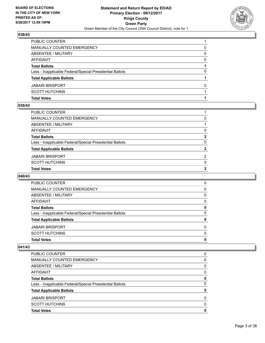

| PUBLIC COUNTER                                           |   |
|----------------------------------------------------------|---|
| MANUALLY COUNTED EMERGENCY                               | 0 |
| <b>ABSENTEE / MILITARY</b>                               | 0 |
| <b>AFFIDAVIT</b>                                         | 0 |
| <b>Total Ballots</b>                                     |   |
| Less - Inapplicable Federal/Special Presidential Ballots | 0 |
| <b>Total Applicable Ballots</b>                          |   |
| <b>JABARI BRISPORT</b>                                   | 0 |
| <b>SCOTT HUTCHINS</b>                                    |   |
| <b>Total Votes</b>                                       |   |

### **039/43**

| PUBLIC COUNTER                                           |                |
|----------------------------------------------------------|----------------|
| MANUALLY COUNTED EMERGENCY                               | 0              |
| ABSENTEE / MILITARY                                      |                |
| AFFIDAVIT                                                | 0              |
| <b>Total Ballots</b>                                     | $\overline{2}$ |
| Less - Inapplicable Federal/Special Presidential Ballots | $\mathbf{0}$   |
| <b>Total Applicable Ballots</b>                          | $\overline{2}$ |
| JABARI BRISPORT                                          | $\overline{2}$ |
| SCOTT HUTCHINS                                           | $\Omega$       |
| <b>Total Votes</b>                                       | $\mathbf{2}$   |
|                                                          |                |

# **040/43**

| <b>Total Votes</b>                                       | 0        |
|----------------------------------------------------------|----------|
| <b>SCOTT HUTCHINS</b>                                    | $\Omega$ |
| <b>JABARI BRISPORT</b>                                   | $\Omega$ |
| <b>Total Applicable Ballots</b>                          | 0        |
| Less - Inapplicable Federal/Special Presidential Ballots | 0        |
| <b>Total Ballots</b>                                     | 0        |
| AFFIDAVIT                                                | 0        |
| ABSENTEE / MILITARY                                      | 0        |
| MANUALLY COUNTED EMERGENCY                               | 0        |
| <b>PUBLIC COUNTER</b>                                    | 0        |

| <b>Total Votes</b>                                       | 0 |
|----------------------------------------------------------|---|
| <b>SCOTT HUTCHINS</b>                                    | 0 |
| <b>JABARI BRISPORT</b>                                   | 0 |
| <b>Total Applicable Ballots</b>                          | 0 |
| Less - Inapplicable Federal/Special Presidential Ballots | 0 |
| <b>Total Ballots</b>                                     | 0 |
| AFFIDAVIT                                                | 0 |
| ABSENTEE / MILITARY                                      | 0 |
| <b>MANUALLY COUNTED EMERGENCY</b>                        | 0 |
| <b>PUBLIC COUNTER</b>                                    | 0 |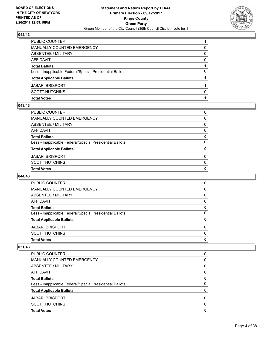

| MANUALLY COUNTED EMERGENCY<br><b>ABSENTEE / MILITARY</b><br><b>AFFIDAVIT</b> |   |
|------------------------------------------------------------------------------|---|
|                                                                              | 0 |
|                                                                              | 0 |
|                                                                              | 0 |
| <b>Total Ballots</b>                                                         |   |
| Less - Inapplicable Federal/Special Presidential Ballots                     | 0 |
| <b>Total Applicable Ballots</b>                                              |   |
| <b>JABARI BRISPORT</b>                                                       |   |
| <b>SCOTT HUTCHINS</b>                                                        | 0 |
| <b>Total Votes</b>                                                           |   |

## **043/43**

| PUBLIC COUNTER                                           | 0            |
|----------------------------------------------------------|--------------|
| MANUALLY COUNTED EMERGENCY                               | $\Omega$     |
| ABSENTEE / MILITARY                                      | $\mathbf{0}$ |
| AFFIDAVIT                                                | $\mathbf{0}$ |
| Total Ballots                                            | 0            |
| Less - Inapplicable Federal/Special Presidential Ballots | $\Omega$     |
| <b>Total Applicable Ballots</b>                          | 0            |
| JABARI BRISPORT                                          | $\Omega$     |
| SCOTT HUTCHINS                                           | $\mathbf{0}$ |
| <b>Total Votes</b>                                       | $\mathbf{0}$ |
|                                                          |              |

# **044/43**

| <b>Total Votes</b>                                       | 0        |
|----------------------------------------------------------|----------|
| <b>SCOTT HUTCHINS</b>                                    | $\Omega$ |
| <b>JABARI BRISPORT</b>                                   | $\Omega$ |
| <b>Total Applicable Ballots</b>                          | 0        |
| Less - Inapplicable Federal/Special Presidential Ballots | 0        |
| <b>Total Ballots</b>                                     | 0        |
| AFFIDAVIT                                                | 0        |
| ABSENTEE / MILITARY                                      | 0        |
| MANUALLY COUNTED EMERGENCY                               | 0        |
| <b>PUBLIC COUNTER</b>                                    | 0        |

| <b>Total Votes</b>                                       | 0        |
|----------------------------------------------------------|----------|
| <b>SCOTT HUTCHINS</b>                                    | 0        |
| <b>JABARI BRISPORT</b>                                   | $\Omega$ |
| <b>Total Applicable Ballots</b>                          | 0        |
| Less - Inapplicable Federal/Special Presidential Ballots | 0        |
| <b>Total Ballots</b>                                     | 0        |
| AFFIDAVIT                                                | 0        |
| ABSENTEE / MILITARY                                      | 0        |
| MANUALLY COUNTED EMERGENCY                               | 0        |
| <b>PUBLIC COUNTER</b>                                    | 0        |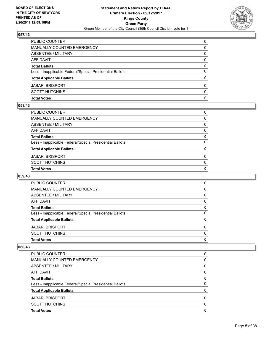

| <b>Total Votes</b>                                       | 0        |
|----------------------------------------------------------|----------|
| <b>SCOTT HUTCHINS</b>                                    | $\Omega$ |
| <b>JABARI BRISPORT</b>                                   | $\Omega$ |
| <b>Total Applicable Ballots</b>                          | 0        |
| Less - Inapplicable Federal/Special Presidential Ballots | $\Omega$ |
| <b>Total Ballots</b>                                     | 0        |
| <b>AFFIDAVIT</b>                                         | 0        |
| <b>ABSENTEE / MILITARY</b>                               | 0        |
| <b>MANUALLY COUNTED EMERGENCY</b>                        | 0        |
| PUBLIC COUNTER                                           | $\Omega$ |

## **058/43**

| PUBLIC COUNTER                                           | 0            |
|----------------------------------------------------------|--------------|
| MANUALLY COUNTED EMERGENCY                               | $\Omega$     |
| ABSENTEE / MILITARY                                      | $\mathbf{0}$ |
| AFFIDAVIT                                                | $\mathbf{0}$ |
| Total Ballots                                            | 0            |
| Less - Inapplicable Federal/Special Presidential Ballots | $\Omega$     |
| <b>Total Applicable Ballots</b>                          | 0            |
| JABARI BRISPORT                                          | $\Omega$     |
| SCOTT HUTCHINS                                           | $\mathbf{0}$ |
| <b>Total Votes</b>                                       | $\mathbf{0}$ |
|                                                          |              |

# **059/43**

| <b>Total Votes</b>                                       | 0        |
|----------------------------------------------------------|----------|
| <b>SCOTT HUTCHINS</b>                                    | $\Omega$ |
| <b>JABARI BRISPORT</b>                                   | $\Omega$ |
| <b>Total Applicable Ballots</b>                          | 0        |
| Less - Inapplicable Federal/Special Presidential Ballots | 0        |
| <b>Total Ballots</b>                                     | 0        |
| AFFIDAVIT                                                | 0        |
| ABSENTEE / MILITARY                                      | 0        |
| MANUALLY COUNTED EMERGENCY                               | 0        |
| <b>PUBLIC COUNTER</b>                                    | 0        |

| <b>Total Votes</b>                                       | 0        |
|----------------------------------------------------------|----------|
| <b>SCOTT HUTCHINS</b>                                    | 0        |
| <b>JABARI BRISPORT</b>                                   | $\Omega$ |
| <b>Total Applicable Ballots</b>                          | 0        |
| Less - Inapplicable Federal/Special Presidential Ballots | 0        |
| <b>Total Ballots</b>                                     | 0        |
| AFFIDAVIT                                                | 0        |
| ABSENTEE / MILITARY                                      | 0        |
| MANUALLY COUNTED EMERGENCY                               | 0        |
| <b>PUBLIC COUNTER</b>                                    | 0        |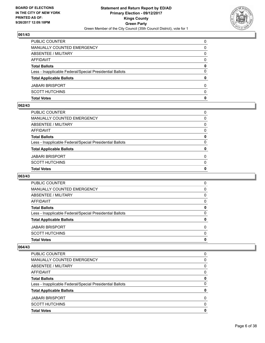

| <b>Total Votes</b>                                       | 0        |
|----------------------------------------------------------|----------|
| <b>SCOTT HUTCHINS</b>                                    | $\Omega$ |
| <b>JABARI BRISPORT</b>                                   | $\Omega$ |
| <b>Total Applicable Ballots</b>                          | 0        |
| Less - Inapplicable Federal/Special Presidential Ballots | $\Omega$ |
| <b>Total Ballots</b>                                     | 0        |
| <b>AFFIDAVIT</b>                                         | 0        |
| <b>ABSENTEE / MILITARY</b>                               | 0        |
| <b>MANUALLY COUNTED EMERGENCY</b>                        | 0        |
| PUBLIC COUNTER                                           | $\Omega$ |

## **062/43**

| <b>Total Votes</b>                                       | 0            |
|----------------------------------------------------------|--------------|
| SCOTT HUTCHINS                                           | $\mathbf{0}$ |
| JABARI BRISPORT                                          | 0            |
| <b>Total Applicable Ballots</b>                          | 0            |
| Less - Inapplicable Federal/Special Presidential Ballots | $\Omega$     |
| <b>Total Ballots</b>                                     | 0            |
| AFFIDAVIT                                                | $\Omega$     |
| ABSENTEE / MILITARY                                      | $\mathbf{0}$ |
| MANUALLY COUNTED EMERGENCY                               | $\Omega$     |
| PUBLIC COUNTER                                           | 0            |

# **063/43**

| <b>Total Votes</b>                                       | 0        |
|----------------------------------------------------------|----------|
| <b>SCOTT HUTCHINS</b>                                    | $\Omega$ |
| <b>JABARI BRISPORT</b>                                   | $\Omega$ |
| <b>Total Applicable Ballots</b>                          | 0        |
| Less - Inapplicable Federal/Special Presidential Ballots | 0        |
| <b>Total Ballots</b>                                     | 0        |
| AFFIDAVIT                                                | 0        |
| ABSENTEE / MILITARY                                      | 0        |
| MANUALLY COUNTED EMERGENCY                               | 0        |
| <b>PUBLIC COUNTER</b>                                    | 0        |

| <b>Total Votes</b>                                       | 0 |
|----------------------------------------------------------|---|
| <b>SCOTT HUTCHINS</b>                                    | 0 |
| <b>JABARI BRISPORT</b>                                   | 0 |
| <b>Total Applicable Ballots</b>                          | 0 |
| Less - Inapplicable Federal/Special Presidential Ballots | 0 |
| <b>Total Ballots</b>                                     | 0 |
| AFFIDAVIT                                                | 0 |
| ABSENTEE / MILITARY                                      | 0 |
| MANUALLY COUNTED EMERGENCY                               | 0 |
| PUBLIC COUNTER                                           | 0 |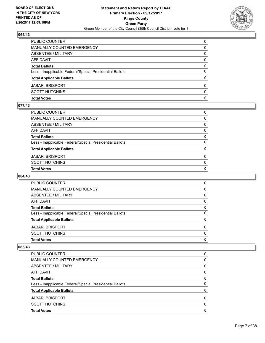

| <b>Total Votes</b>                                       | 0            |
|----------------------------------------------------------|--------------|
| <b>SCOTT HUTCHINS</b>                                    | $\Omega$     |
| <b>JABARI BRISPORT</b>                                   | $\Omega$     |
| <b>Total Applicable Ballots</b>                          | $\mathbf{0}$ |
| Less - Inapplicable Federal/Special Presidential Ballots | $\Omega$     |
| <b>Total Ballots</b>                                     | 0            |
| <b>AFFIDAVIT</b>                                         | 0            |
| <b>ABSENTEE / MILITARY</b>                               | 0            |
| <b>MANUALLY COUNTED EMERGENCY</b>                        | 0            |
| PUBLIC COUNTER                                           | $\Omega$     |

### **077/43**

| PUBLIC COUNTER                                           | 0            |
|----------------------------------------------------------|--------------|
| MANUALLY COUNTED EMERGENCY                               | $\Omega$     |
| ABSENTEE / MILITARY                                      | $\mathbf{0}$ |
| AFFIDAVIT                                                | $\mathbf{0}$ |
| Total Ballots                                            | 0            |
| Less - Inapplicable Federal/Special Presidential Ballots | $\Omega$     |
| <b>Total Applicable Ballots</b>                          | 0            |
| JABARI BRISPORT                                          | $\Omega$     |
| SCOTT HUTCHINS                                           | $\mathbf{0}$ |
| <b>Total Votes</b>                                       | $\mathbf{0}$ |
|                                                          |              |

## **084/43**

| <b>Total Votes</b>                                       | 0        |
|----------------------------------------------------------|----------|
| <b>SCOTT HUTCHINS</b>                                    | $\Omega$ |
| <b>JABARI BRISPORT</b>                                   | $\Omega$ |
| <b>Total Applicable Ballots</b>                          | 0        |
| Less - Inapplicable Federal/Special Presidential Ballots | 0        |
| <b>Total Ballots</b>                                     | 0        |
| AFFIDAVIT                                                | 0        |
| ABSENTEE / MILITARY                                      | 0        |
| MANUALLY COUNTED EMERGENCY                               | 0        |
| <b>PUBLIC COUNTER</b>                                    | 0        |

| <b>Total Votes</b>                                       | 0        |
|----------------------------------------------------------|----------|
| <b>SCOTT HUTCHINS</b>                                    | 0        |
| <b>JABARI BRISPORT</b>                                   | $\Omega$ |
| <b>Total Applicable Ballots</b>                          | 0        |
| Less - Inapplicable Federal/Special Presidential Ballots | 0        |
| <b>Total Ballots</b>                                     | 0        |
| AFFIDAVIT                                                | 0        |
| ABSENTEE / MILITARY                                      | 0        |
| MANUALLY COUNTED EMERGENCY                               | 0        |
| <b>PUBLIC COUNTER</b>                                    | 0        |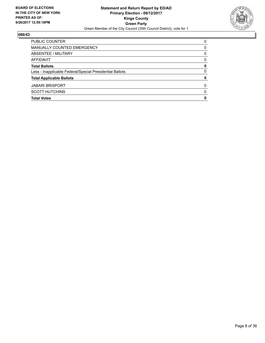

| <b>SCOTT HUTCHINS</b>                                    | 0        |
|----------------------------------------------------------|----------|
| <b>JABARI BRISPORT</b>                                   | 0        |
| <b>Total Applicable Ballots</b>                          | 0        |
| Less - Inapplicable Federal/Special Presidential Ballots | 0        |
| <b>Total Ballots</b>                                     | 0        |
| AFFIDAVIT                                                | $\Omega$ |
| ABSENTEE / MILITARY                                      | 0        |
| MANUALLY COUNTED EMERGENCY                               | 0        |
| PUBLIC COUNTER                                           | $\Omega$ |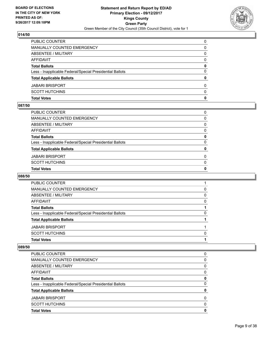

| <b>Total Votes</b>                                       | 0        |
|----------------------------------------------------------|----------|
| <b>SCOTT HUTCHINS</b>                                    | $\Omega$ |
| <b>JABARI BRISPORT</b>                                   | $\Omega$ |
| <b>Total Applicable Ballots</b>                          | 0        |
| Less - Inapplicable Federal/Special Presidential Ballots | $\Omega$ |
| <b>Total Ballots</b>                                     | 0        |
| <b>AFFIDAVIT</b>                                         | 0        |
| <b>ABSENTEE / MILITARY</b>                               | 0        |
| <b>MANUALLY COUNTED EMERGENCY</b>                        | 0        |
| PUBLIC COUNTER                                           | $\Omega$ |

### **087/50**

| <b>Total Votes</b>                                       | 0            |
|----------------------------------------------------------|--------------|
| SCOTT HUTCHINS                                           | $\mathbf{0}$ |
| JABARI BRISPORT                                          | 0            |
| <b>Total Applicable Ballots</b>                          | 0            |
| Less - Inapplicable Federal/Special Presidential Ballots | $\Omega$     |
| <b>Total Ballots</b>                                     | 0            |
| AFFIDAVIT                                                | $\Omega$     |
| ABSENTEE / MILITARY                                      | $\mathbf{0}$ |
| MANUALLY COUNTED EMERGENCY                               | $\Omega$     |
| PUBLIC COUNTER                                           | 0            |

## **088/50**

| <b>Total Votes</b>                                       |          |
|----------------------------------------------------------|----------|
| <b>SCOTT HUTCHINS</b>                                    | $\Omega$ |
| <b>JABARI BRISPORT</b>                                   |          |
| <b>Total Applicable Ballots</b>                          |          |
| Less - Inapplicable Federal/Special Presidential Ballots | 0        |
| <b>Total Ballots</b>                                     |          |
| AFFIDAVIT                                                | 0        |
| ABSENTEE / MILITARY                                      | 0        |
| MANUALLY COUNTED EMERGENCY                               | 0        |
| PUBLIC COUNTER                                           |          |

| PUBLIC COUNTER                                           | 0 |
|----------------------------------------------------------|---|
| MANUALLY COUNTED EMERGENCY                               | 0 |
| ABSENTEE / MILITARY                                      | 0 |
| AFFIDAVIT                                                | 0 |
| <b>Total Ballots</b>                                     | 0 |
| Less - Inapplicable Federal/Special Presidential Ballots | 0 |
| <b>Total Applicable Ballots</b>                          |   |
| <b>JABARI BRISPORT</b>                                   | 0 |
| <b>SCOTT HUTCHINS</b>                                    | 0 |
| <b>Total Votes</b>                                       | O |
|                                                          |   |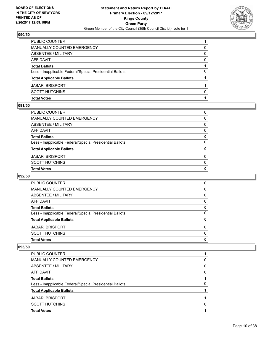

| <b>Total Votes</b>                                       |   |
|----------------------------------------------------------|---|
| <b>SCOTT HUTCHINS</b>                                    | O |
| <b>JABARI BRISPORT</b>                                   |   |
| <b>Total Applicable Ballots</b>                          |   |
| Less - Inapplicable Federal/Special Presidential Ballots | 0 |
| <b>Total Ballots</b>                                     |   |
| AFFIDAVIT                                                | 0 |
| <b>ABSENTEE / MILITARY</b>                               | 0 |
| MANUALLY COUNTED EMERGENCY                               | 0 |
| PUBLIC COUNTER                                           |   |

### **091/50**

| PUBLIC COUNTER                                           | 0            |
|----------------------------------------------------------|--------------|
| MANUALLY COUNTED EMERGENCY                               | $\Omega$     |
| ABSENTEE / MILITARY                                      | $\mathbf{0}$ |
| AFFIDAVIT                                                | $\mathbf{0}$ |
| Total Ballots                                            | 0            |
| Less - Inapplicable Federal/Special Presidential Ballots | $\Omega$     |
| <b>Total Applicable Ballots</b>                          | 0            |
| JABARI BRISPORT                                          | $\Omega$     |
| SCOTT HUTCHINS                                           | $\mathbf{0}$ |
| <b>Total Votes</b>                                       | $\mathbf{0}$ |
|                                                          |              |

## **092/50**

| <b>Total Votes</b>                                       | 0        |
|----------------------------------------------------------|----------|
| <b>SCOTT HUTCHINS</b>                                    | $\Omega$ |
| <b>JABARI BRISPORT</b>                                   | $\Omega$ |
| <b>Total Applicable Ballots</b>                          | 0        |
| Less - Inapplicable Federal/Special Presidential Ballots | 0        |
| <b>Total Ballots</b>                                     | 0        |
| AFFIDAVIT                                                | 0        |
| ABSENTEE / MILITARY                                      | 0        |
| MANUALLY COUNTED EMERGENCY                               | 0        |
| PUBLIC COUNTER                                           | 0        |

| <b>Total Applicable Ballots</b>                          |   |
|----------------------------------------------------------|---|
| Less - Inapplicable Federal/Special Presidential Ballots | 0 |
| <b>Total Ballots</b>                                     |   |
| AFFIDAVIT                                                | 0 |
| ABSENTEE / MILITARY                                      | 0 |
| MANUALLY COUNTED EMERGENCY                               | 0 |
| <b>PUBLIC COUNTER</b>                                    |   |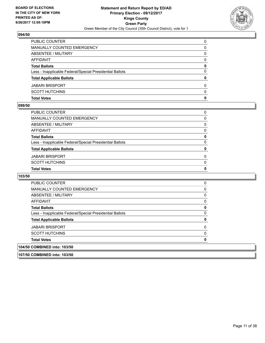

| <b>JABARI BRISPORT</b><br><b>SCOTT HUTCHINS</b>          | $\Omega$<br>$\Omega$ |
|----------------------------------------------------------|----------------------|
| <b>Total Applicable Ballots</b>                          | 0                    |
| Less - Inapplicable Federal/Special Presidential Ballots | $\Omega$             |
| <b>Total Ballots</b>                                     | 0                    |
| <b>AFFIDAVIT</b>                                         | 0                    |
| ABSENTEE / MILITARY                                      | 0                    |
| MANUALLY COUNTED EMERGENCY                               | 0                    |
| PUBLIC COUNTER                                           | $\Omega$             |

### **099/50**

| PUBLIC COUNTER                                           | 0 |
|----------------------------------------------------------|---|
| MANUALLY COUNTED EMERGENCY                               | 0 |
| ABSENTEE / MILITARY                                      | 0 |
| AFFIDAVIT                                                | 0 |
| <b>Total Ballots</b>                                     | 0 |
| Less - Inapplicable Federal/Special Presidential Ballots | 0 |
| <b>Total Applicable Ballots</b>                          | 0 |
| JABARI BRISPORT                                          | 0 |
| SCOTT HUTCHINS                                           | 0 |
| <b>Total Votes</b>                                       | 0 |
|                                                          |   |

| <b>PUBLIC COUNTER</b>                                    |  |
|----------------------------------------------------------|--|
| MANUALLY COUNTED EMERGENCY                               |  |
| ABSENTEE / MILITARY                                      |  |
| AFFIDAVIT                                                |  |
| <b>Total Ballots</b>                                     |  |
| Less - Inapplicable Federal/Special Presidential Ballots |  |
| <b>Total Applicable Ballots</b>                          |  |
| <b>JABARI BRISPORT</b>                                   |  |
| <b>SCOTT HUTCHINS</b>                                    |  |
| <b>Total Votes</b>                                       |  |
| 104/50 COMBINED into: 103/50                             |  |
| 107/50 COMBINED into: 103/50                             |  |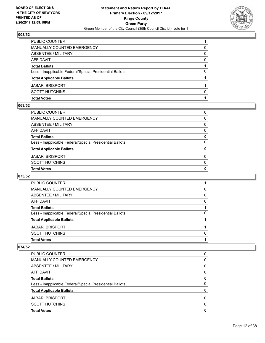

| PUBLIC COUNTER                                           |   |
|----------------------------------------------------------|---|
| MANUALLY COUNTED EMERGENCY                               | 0 |
| ABSENTEE / MILITARY                                      | 0 |
| AFFIDAVIT                                                | 0 |
| <b>Total Ballots</b>                                     |   |
| Less - Inapplicable Federal/Special Presidential Ballots | 0 |
| <b>Total Applicable Ballots</b>                          |   |
| <b>JABARI BRISPORT</b>                                   |   |
| <b>SCOTT HUTCHINS</b>                                    | 0 |
| <b>Total Votes</b>                                       |   |

### **063/52**

| <b>Total Votes</b>                                       | 0            |
|----------------------------------------------------------|--------------|
| SCOTT HUTCHINS                                           | $\mathbf{0}$ |
| JABARI BRISPORT                                          | 0            |
| <b>Total Applicable Ballots</b>                          | 0            |
| Less - Inapplicable Federal/Special Presidential Ballots | $\Omega$     |
| <b>Total Ballots</b>                                     | 0            |
| AFFIDAVIT                                                | $\Omega$     |
| ABSENTEE / MILITARY                                      | $\mathbf{0}$ |
| MANUALLY COUNTED EMERGENCY                               | $\Omega$     |
| PUBLIC COUNTER                                           | 0            |

# **073/52**

| <b>Total Votes</b>                                       |              |
|----------------------------------------------------------|--------------|
| <b>SCOTT HUTCHINS</b>                                    | <sup>0</sup> |
| <b>JABARI BRISPORT</b>                                   |              |
| <b>Total Applicable Ballots</b>                          |              |
| Less - Inapplicable Federal/Special Presidential Ballots | 0            |
| <b>Total Ballots</b>                                     |              |
| AFFIDAVIT                                                | 0            |
| ABSENTEE / MILITARY                                      | 0            |
| MANUALLY COUNTED EMERGENCY                               | 0            |
| <b>PUBLIC COUNTER</b>                                    |              |

| PUBLIC COUNTER                                           | 0 |
|----------------------------------------------------------|---|
| MANUALLY COUNTED EMERGENCY                               | 0 |
| ABSENTEE / MILITARY                                      | 0 |
| AFFIDAVIT                                                | 0 |
| <b>Total Ballots</b>                                     | 0 |
| Less - Inapplicable Federal/Special Presidential Ballots | 0 |
| <b>Total Applicable Ballots</b>                          |   |
| <b>JABARI BRISPORT</b>                                   | 0 |
| <b>SCOTT HUTCHINS</b>                                    | 0 |
| <b>Total Votes</b>                                       | O |
|                                                          |   |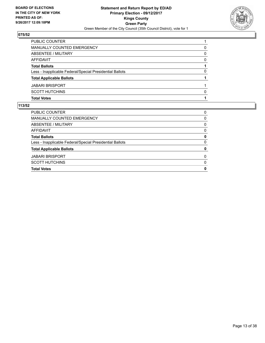

| 0        |
|----------|
| 0        |
| $\Omega$ |
|          |
| 0        |
|          |
|          |
| n        |
|          |
|          |

| <b>Total Votes</b>                                       | 0 |
|----------------------------------------------------------|---|
| <b>SCOTT HUTCHINS</b>                                    | 0 |
| <b>JABARI BRISPORT</b>                                   | 0 |
| <b>Total Applicable Ballots</b>                          | 0 |
| Less - Inapplicable Federal/Special Presidential Ballots | 0 |
| <b>Total Ballots</b>                                     | 0 |
| AFFIDAVIT                                                | 0 |
| ABSENTEE / MILITARY                                      | 0 |
| MANUALLY COUNTED EMERGENCY                               | 0 |
| <b>PUBLIC COUNTER</b>                                    | 0 |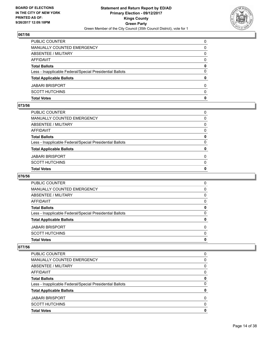

| <b>Total Votes</b>                                       | 0        |
|----------------------------------------------------------|----------|
| <b>SCOTT HUTCHINS</b>                                    | $\Omega$ |
| <b>JABARI BRISPORT</b>                                   | $\Omega$ |
| <b>Total Applicable Ballots</b>                          | 0        |
| Less - Inapplicable Federal/Special Presidential Ballots | $\Omega$ |
| <b>Total Ballots</b>                                     | 0        |
| <b>AFFIDAVIT</b>                                         | 0        |
| <b>ABSENTEE / MILITARY</b>                               | 0        |
| MANUALLY COUNTED EMERGENCY                               | 0        |
| PUBLIC COUNTER                                           | 0        |

### **073/56**

| <b>Total Votes</b>                                       | 0            |
|----------------------------------------------------------|--------------|
| SCOTT HUTCHINS                                           | $\mathbf{0}$ |
| JABARI BRISPORT                                          | 0            |
| <b>Total Applicable Ballots</b>                          | 0            |
| Less - Inapplicable Federal/Special Presidential Ballots | $\Omega$     |
| <b>Total Ballots</b>                                     | 0            |
| AFFIDAVIT                                                | $\Omega$     |
| ABSENTEE / MILITARY                                      | $\mathbf{0}$ |
| MANUALLY COUNTED EMERGENCY                               | $\Omega$     |
| PUBLIC COUNTER                                           | 0            |

# **076/56**

| <b>Total Votes</b>                                       | 0        |
|----------------------------------------------------------|----------|
| <b>SCOTT HUTCHINS</b>                                    | $\Omega$ |
| <b>JABARI BRISPORT</b>                                   | $\Omega$ |
| <b>Total Applicable Ballots</b>                          | 0        |
| Less - Inapplicable Federal/Special Presidential Ballots | 0        |
| <b>Total Ballots</b>                                     | 0        |
| AFFIDAVIT                                                | 0        |
| ABSENTEE / MILITARY                                      | 0        |
| MANUALLY COUNTED EMERGENCY                               | 0        |
| <b>PUBLIC COUNTER</b>                                    | 0        |

| <b>Total Votes</b>                                       | 0 |
|----------------------------------------------------------|---|
| <b>SCOTT HUTCHINS</b>                                    | 0 |
| <b>JABARI BRISPORT</b>                                   | 0 |
| <b>Total Applicable Ballots</b>                          | 0 |
| Less - Inapplicable Federal/Special Presidential Ballots | 0 |
| <b>Total Ballots</b>                                     | 0 |
| AFFIDAVIT                                                | 0 |
| ABSENTEE / MILITARY                                      | 0 |
| <b>MANUALLY COUNTED EMERGENCY</b>                        | 0 |
| <b>PUBLIC COUNTER</b>                                    | 0 |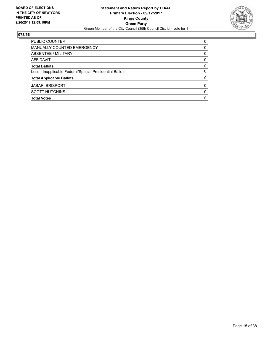

| <b>SCOTT HUTCHINS</b>                                    | 0        |
|----------------------------------------------------------|----------|
| <b>JABARI BRISPORT</b>                                   | 0        |
| <b>Total Applicable Ballots</b>                          | 0        |
| Less - Inapplicable Federal/Special Presidential Ballots | 0        |
| <b>Total Ballots</b>                                     | 0        |
| AFFIDAVIT                                                | $\Omega$ |
| ABSENTEE / MILITARY                                      | 0        |
| MANUALLY COUNTED EMERGENCY                               | 0        |
| PUBLIC COUNTER                                           | $\Omega$ |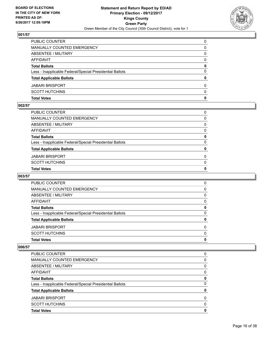

| <b>Total Votes</b>                                       | 0        |
|----------------------------------------------------------|----------|
| <b>SCOTT HUTCHINS</b>                                    | $\Omega$ |
| <b>JABARI BRISPORT</b>                                   | $\Omega$ |
| <b>Total Applicable Ballots</b>                          | 0        |
| Less - Inapplicable Federal/Special Presidential Ballots | $\Omega$ |
| <b>Total Ballots</b>                                     | 0        |
| <b>AFFIDAVIT</b>                                         | 0        |
| <b>ABSENTEE / MILITARY</b>                               | 0        |
| <b>MANUALLY COUNTED EMERGENCY</b>                        | 0        |
| PUBLIC COUNTER                                           | $\Omega$ |

#### **002/57**

| PUBLIC COUNTER                                           | 0            |
|----------------------------------------------------------|--------------|
| MANUALLY COUNTED EMERGENCY                               | 0            |
| ABSENTEE / MILITARY                                      | $\Omega$     |
| AFFIDAVIT                                                | 0            |
| <b>Total Ballots</b>                                     | 0            |
| Less - Inapplicable Federal/Special Presidential Ballots | $\Omega$     |
| <b>Total Applicable Ballots</b>                          | 0            |
| JABARI BRISPORT                                          | 0            |
| SCOTT HUTCHINS                                           | $\mathbf{0}$ |
| <b>Total Votes</b>                                       | $\mathbf{0}$ |
|                                                          |              |

# **003/57**

| <b>Total Votes</b>                                       | 0        |
|----------------------------------------------------------|----------|
| <b>SCOTT HUTCHINS</b>                                    | $\Omega$ |
| <b>JABARI BRISPORT</b>                                   | 0        |
| <b>Total Applicable Ballots</b>                          | 0        |
| Less - Inapplicable Federal/Special Presidential Ballots | 0        |
| <b>Total Ballots</b>                                     | 0        |
| AFFIDAVIT                                                | 0        |
| ABSENTEE / MILITARY                                      | 0        |
| MANUALLY COUNTED EMERGENCY                               | 0        |
| <b>PUBLIC COUNTER</b>                                    | 0        |

| <b>Total Votes</b>                                       | 0 |
|----------------------------------------------------------|---|
| <b>SCOTT HUTCHINS</b>                                    | O |
| <b>JABARI BRISPORT</b>                                   | 0 |
| <b>Total Applicable Ballots</b>                          | 0 |
| Less - Inapplicable Federal/Special Presidential Ballots | 0 |
| <b>Total Ballots</b>                                     | 0 |
| AFFIDAVIT                                                | 0 |
| ABSENTEE / MILITARY                                      | 0 |
| <b>MANUALLY COUNTED EMERGENCY</b>                        | 0 |
| <b>PUBLIC COUNTER</b>                                    | 0 |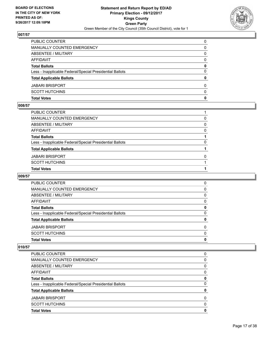

| <b>Total Votes</b>                                       | 0        |
|----------------------------------------------------------|----------|
| <b>SCOTT HUTCHINS</b>                                    | $\Omega$ |
| <b>JABARI BRISPORT</b>                                   | $\Omega$ |
| <b>Total Applicable Ballots</b>                          | 0        |
| Less - Inapplicable Federal/Special Presidential Ballots | $\Omega$ |
| <b>Total Ballots</b>                                     | 0        |
| <b>AFFIDAVIT</b>                                         | 0        |
| ABSENTEE / MILITARY                                      | 0        |
| <b>MANUALLY COUNTED EMERGENCY</b>                        | 0        |
| <b>PUBLIC COUNTER</b>                                    | 0        |

#### **008/57**

| PUBLIC COUNTER                                           |          |
|----------------------------------------------------------|----------|
| MANUALLY COUNTED EMERGENCY                               | 0        |
| ABSENTEE / MILITARY                                      | $\Omega$ |
| AFFIDAVIT                                                | 0        |
| Total Ballots                                            |          |
| Less - Inapplicable Federal/Special Presidential Ballots | 0        |
| <b>Total Applicable Ballots</b>                          |          |
| JABARI BRISPORT                                          | 0        |
| SCOTT HUTCHINS                                           |          |
| <b>Total Votes</b>                                       |          |
|                                                          |          |

# **009/57**

| <b>Total Votes</b>                                       | 0        |
|----------------------------------------------------------|----------|
| <b>SCOTT HUTCHINS</b>                                    | $\Omega$ |
| <b>JABARI BRISPORT</b>                                   | $\Omega$ |
| <b>Total Applicable Ballots</b>                          | 0        |
| Less - Inapplicable Federal/Special Presidential Ballots | 0        |
| <b>Total Ballots</b>                                     | 0        |
| AFFIDAVIT                                                | 0        |
| ABSENTEE / MILITARY                                      | 0        |
| MANUALLY COUNTED EMERGENCY                               | 0        |
| PUBLIC COUNTER                                           | 0        |

| <b>Total Votes</b>                                       | 0        |
|----------------------------------------------------------|----------|
| <b>SCOTT HUTCHINS</b>                                    | 0        |
| <b>JABARI BRISPORT</b>                                   | $\Omega$ |
| <b>Total Applicable Ballots</b>                          | 0        |
| Less - Inapplicable Federal/Special Presidential Ballots | 0        |
| <b>Total Ballots</b>                                     | 0        |
| AFFIDAVIT                                                | 0        |
| ABSENTEE / MILITARY                                      | 0        |
| MANUALLY COUNTED EMERGENCY                               | 0        |
| <b>PUBLIC COUNTER</b>                                    | 0        |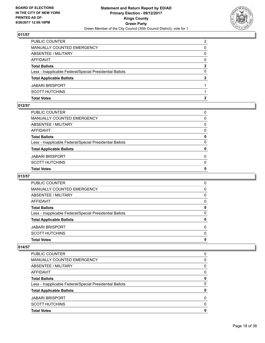

| <b>Total Votes</b>                                       | 2              |
|----------------------------------------------------------|----------------|
| <b>SCOTT HUTCHINS</b>                                    |                |
| <b>JABARI BRISPORT</b>                                   |                |
| <b>Total Applicable Ballots</b>                          | 2              |
| Less - Inapplicable Federal/Special Presidential Ballots | $\Omega$       |
| <b>Total Ballots</b>                                     | $\mathbf{2}$   |
| <b>AFFIDAVIT</b>                                         | 0              |
| <b>ABSENTEE / MILITARY</b>                               | 0              |
| MANUALLY COUNTED EMERGENCY                               | 0              |
| PUBLIC COUNTER                                           | $\overline{2}$ |

### **012/57**

| <b>Total Votes</b>                                       | 0            |
|----------------------------------------------------------|--------------|
| SCOTT HUTCHINS                                           | $\mathbf{0}$ |
| JABARI BRISPORT                                          | 0            |
| <b>Total Applicable Ballots</b>                          | 0            |
| Less - Inapplicable Federal/Special Presidential Ballots | $\Omega$     |
| <b>Total Ballots</b>                                     | 0            |
| AFFIDAVIT                                                | $\Omega$     |
| ABSENTEE / MILITARY                                      | $\mathbf{0}$ |
| MANUALLY COUNTED EMERGENCY                               | $\Omega$     |
| PUBLIC COUNTER                                           | 0            |

# **013/57**

| <b>Total Votes</b>                                       | 0        |
|----------------------------------------------------------|----------|
| <b>SCOTT HUTCHINS</b>                                    | $\Omega$ |
| <b>JABARI BRISPORT</b>                                   | $\Omega$ |
| <b>Total Applicable Ballots</b>                          | 0        |
| Less - Inapplicable Federal/Special Presidential Ballots | 0        |
| <b>Total Ballots</b>                                     | 0        |
| AFFIDAVIT                                                | 0        |
| ABSENTEE / MILITARY                                      | 0        |
| MANUALLY COUNTED EMERGENCY                               | 0        |
| PUBLIC COUNTER                                           | 0        |

| <b>Total Votes</b>                                       | 0        |
|----------------------------------------------------------|----------|
| <b>SCOTT HUTCHINS</b>                                    | 0        |
| <b>JABARI BRISPORT</b>                                   | $\Omega$ |
| <b>Total Applicable Ballots</b>                          | 0        |
| Less - Inapplicable Federal/Special Presidential Ballots | 0        |
| <b>Total Ballots</b>                                     | 0        |
| AFFIDAVIT                                                | 0        |
| ABSENTEE / MILITARY                                      | 0        |
| <b>MANUALLY COUNTED EMERGENCY</b>                        | 0        |
| <b>PUBLIC COUNTER</b>                                    | 0        |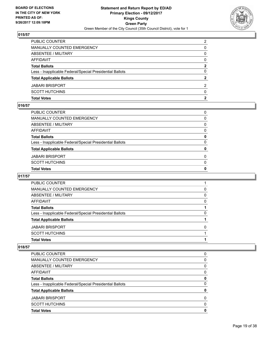

| <b>Total Votes</b>                                       | $\mathbf{2}$   |
|----------------------------------------------------------|----------------|
| <b>SCOTT HUTCHINS</b>                                    | $\Omega$       |
| <b>JABARI BRISPORT</b>                                   | 2              |
| <b>Total Applicable Ballots</b>                          | 2              |
| Less - Inapplicable Federal/Special Presidential Ballots | $\Omega$       |
| <b>Total Ballots</b>                                     | $\mathbf{2}$   |
| <b>AFFIDAVIT</b>                                         | 0              |
| <b>ABSENTEE / MILITARY</b>                               | 0              |
| MANUALLY COUNTED EMERGENCY                               | 0              |
| PUBLIC COUNTER                                           | $\overline{2}$ |

### **016/57**

| PUBLIC COUNTER                                           | 0            |
|----------------------------------------------------------|--------------|
| MANUALLY COUNTED EMERGENCY                               | 0            |
| ABSENTEE / MILITARY                                      | $\Omega$     |
| AFFIDAVIT                                                | 0            |
| Total Ballots                                            | 0            |
| Less - Inapplicable Federal/Special Presidential Ballots | $\mathbf{0}$ |
| <b>Total Applicable Ballots</b>                          | 0            |
| JABARI BRISPORT                                          | $\Omega$     |
| SCOTT HUTCHINS                                           | $\Omega$     |
| <b>Total Votes</b>                                       | 0            |
|                                                          |              |

# **017/57**

| PUBLIC COUNTER                                           |   |
|----------------------------------------------------------|---|
| MANUALLY COUNTED EMERGENCY                               | 0 |
| ABSENTEE / MILITARY                                      | 0 |
| AFFIDAVIT                                                | 0 |
| <b>Total Ballots</b>                                     |   |
| Less - Inapplicable Federal/Special Presidential Ballots | 0 |
| <b>Total Applicable Ballots</b>                          |   |
| <b>JABARI BRISPORT</b>                                   | 0 |
| <b>SCOTT HUTCHINS</b>                                    |   |
| <b>Total Votes</b>                                       |   |
|                                                          |   |

| <b>Total Votes</b>                                       | 0 |
|----------------------------------------------------------|---|
| <b>SCOTT HUTCHINS</b>                                    | 0 |
| <b>JABARI BRISPORT</b>                                   | 0 |
| <b>Total Applicable Ballots</b>                          | 0 |
| Less - Inapplicable Federal/Special Presidential Ballots | 0 |
| <b>Total Ballots</b>                                     | 0 |
| AFFIDAVIT                                                | 0 |
| ABSENTEE / MILITARY                                      | 0 |
| <b>MANUALLY COUNTED EMERGENCY</b>                        | 0 |
| <b>PUBLIC COUNTER</b>                                    | 0 |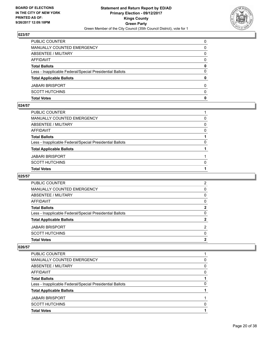

| <b>Total Votes</b>                                       | 0        |
|----------------------------------------------------------|----------|
| <b>SCOTT HUTCHINS</b>                                    | $\Omega$ |
| <b>JABARI BRISPORT</b>                                   | $\Omega$ |
| <b>Total Applicable Ballots</b>                          | 0        |
| Less - Inapplicable Federal/Special Presidential Ballots | $\Omega$ |
| <b>Total Ballots</b>                                     | 0        |
| <b>AFFIDAVIT</b>                                         | 0        |
| ABSENTEE / MILITARY                                      | 0        |
| <b>MANUALLY COUNTED EMERGENCY</b>                        | 0        |
| <b>PUBLIC COUNTER</b>                                    | 0        |

#### **024/57**

| PUBLIC COUNTER                                           |          |
|----------------------------------------------------------|----------|
| MANUALLY COUNTED EMERGENCY                               | 0        |
| ABSENTEE / MILITARY                                      | $\Omega$ |
| AFFIDAVIT                                                | 0        |
| <b>Total Ballots</b>                                     |          |
| Less - Inapplicable Federal/Special Presidential Ballots | 0        |
| <b>Total Applicable Ballots</b>                          |          |
| JABARI BRISPORT                                          |          |
| SCOTT HUTCHINS                                           | $\Omega$ |
| <b>Total Votes</b>                                       |          |
|                                                          |          |

# **025/57**

| <b>Total Votes</b>                                       | 2            |
|----------------------------------------------------------|--------------|
| <b>SCOTT HUTCHINS</b>                                    | $\Omega$     |
| <b>JABARI BRISPORT</b>                                   | 2            |
| <b>Total Applicable Ballots</b>                          | $\mathbf{2}$ |
| Less - Inapplicable Federal/Special Presidential Ballots | 0            |
| <b>Total Ballots</b>                                     | 2            |
| AFFIDAVIT                                                | 0            |
| ABSENTEE / MILITARY                                      | 0            |
| MANUALLY COUNTED EMERGENCY                               | 0            |
| PUBLIC COUNTER                                           | 2            |

| PUBLIC COUNTER                                           |   |
|----------------------------------------------------------|---|
| MANUALLY COUNTED EMERGENCY                               | 0 |
| ABSENTEE / MILITARY                                      | 0 |
| AFFIDAVIT                                                | 0 |
| <b>Total Ballots</b>                                     |   |
| Less - Inapplicable Federal/Special Presidential Ballots | 0 |
| <b>Total Applicable Ballots</b>                          |   |
| <b>JABARI BRISPORT</b>                                   |   |
| <b>SCOTT HUTCHINS</b>                                    | 0 |
| <b>Total Votes</b>                                       |   |
|                                                          |   |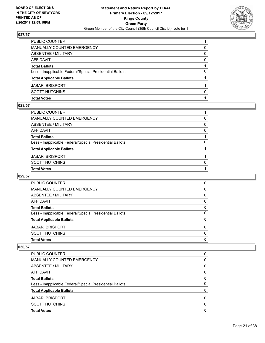

| <b>Total Votes</b>                                       |              |
|----------------------------------------------------------|--------------|
| <b>SCOTT HUTCHINS</b>                                    | <sup>0</sup> |
| <b>JABARI BRISPORT</b>                                   |              |
| <b>Total Applicable Ballots</b>                          |              |
| Less - Inapplicable Federal/Special Presidential Ballots | 0            |
| <b>Total Ballots</b>                                     |              |
| <b>AFFIDAVIT</b>                                         | 0            |
| <b>ABSENTEE / MILITARY</b>                               | 0            |
| MANUALLY COUNTED EMERGENCY                               | 0            |
| PUBLIC COUNTER                                           |              |

### **028/57**

| PUBLIC COUNTER                                           |          |
|----------------------------------------------------------|----------|
| MANUALLY COUNTED EMERGENCY                               | 0        |
| ABSENTEE / MILITARY                                      | $\Omega$ |
| AFFIDAVIT                                                | 0        |
| <b>Total Ballots</b>                                     |          |
| Less - Inapplicable Federal/Special Presidential Ballots | 0        |
| <b>Total Applicable Ballots</b>                          |          |
| JABARI BRISPORT                                          |          |
| SCOTT HUTCHINS                                           | $\Omega$ |
| <b>Total Votes</b>                                       |          |
|                                                          |          |

# **029/57**

| <b>Total Votes</b>                                       | 0        |
|----------------------------------------------------------|----------|
| <b>SCOTT HUTCHINS</b>                                    | $\Omega$ |
| <b>JABARI BRISPORT</b>                                   | 0        |
| <b>Total Applicable Ballots</b>                          | 0        |
| Less - Inapplicable Federal/Special Presidential Ballots | 0        |
| <b>Total Ballots</b>                                     | 0        |
| AFFIDAVIT                                                | 0        |
| ABSENTEE / MILITARY                                      | 0        |
| MANUALLY COUNTED EMERGENCY                               | 0        |
| <b>PUBLIC COUNTER</b>                                    | 0        |

| <b>Total Votes</b>                                       | 0        |
|----------------------------------------------------------|----------|
| <b>SCOTT HUTCHINS</b>                                    | $\Omega$ |
| <b>JABARI BRISPORT</b>                                   | 0        |
| <b>Total Applicable Ballots</b>                          | 0        |
| Less - Inapplicable Federal/Special Presidential Ballots | 0        |
| <b>Total Ballots</b>                                     | 0        |
| AFFIDAVIT                                                | 0        |
| ABSENTEE / MILITARY                                      | 0        |
| MANUALLY COUNTED EMERGENCY                               | 0        |
| <b>PUBLIC COUNTER</b>                                    | 0        |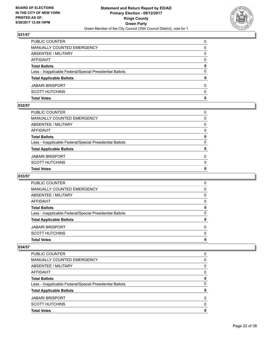

| <b>Total Votes</b>                                       | 0        |
|----------------------------------------------------------|----------|
| <b>SCOTT HUTCHINS</b>                                    | $\Omega$ |
| <b>JABARI BRISPORT</b>                                   | $\Omega$ |
| <b>Total Applicable Ballots</b>                          | 0        |
| Less - Inapplicable Federal/Special Presidential Ballots | $\Omega$ |
| <b>Total Ballots</b>                                     | 0        |
| <b>AFFIDAVIT</b>                                         | $\Omega$ |
| <b>ABSENTEE / MILITARY</b>                               | 0        |
| <b>MANUALLY COUNTED EMERGENCY</b>                        | 0        |
| PUBLIC COUNTER                                           | $\Omega$ |

## **032/57**

| <b>Total Votes</b>                                       | 0            |
|----------------------------------------------------------|--------------|
| SCOTT HUTCHINS                                           | $\mathbf{0}$ |
| JABARI BRISPORT                                          | 0            |
| <b>Total Applicable Ballots</b>                          | 0            |
| Less - Inapplicable Federal/Special Presidential Ballots | $\Omega$     |
| <b>Total Ballots</b>                                     | 0            |
| AFFIDAVIT                                                | $\Omega$     |
| ABSENTEE / MILITARY                                      | $\mathbf{0}$ |
| MANUALLY COUNTED EMERGENCY                               | $\Omega$     |
| PUBLIC COUNTER                                           | 0            |

# **033/57**

| <b>Total Votes</b>                                       | 0        |
|----------------------------------------------------------|----------|
| <b>SCOTT HUTCHINS</b>                                    | $\Omega$ |
| <b>JABARI BRISPORT</b>                                   | $\Omega$ |
| <b>Total Applicable Ballots</b>                          | 0        |
| Less - Inapplicable Federal/Special Presidential Ballots | 0        |
| <b>Total Ballots</b>                                     | 0        |
| AFFIDAVIT                                                | 0        |
| ABSENTEE / MILITARY                                      | 0        |
| MANUALLY COUNTED EMERGENCY                               | 0        |
| PUBLIC COUNTER                                           | 0        |

| <b>Total Votes</b>                                       | 0        |
|----------------------------------------------------------|----------|
| <b>SCOTT HUTCHINS</b>                                    | 0        |
| <b>JABARI BRISPORT</b>                                   | $\Omega$ |
| <b>Total Applicable Ballots</b>                          | 0        |
| Less - Inapplicable Federal/Special Presidential Ballots | 0        |
| <b>Total Ballots</b>                                     | 0        |
| AFFIDAVIT                                                | 0        |
| ABSENTEE / MILITARY                                      | 0        |
| MANUALLY COUNTED EMERGENCY                               | 0        |
| <b>PUBLIC COUNTER</b>                                    | 0        |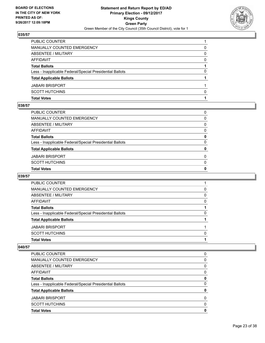

| <b>Total Votes</b>                                       |   |
|----------------------------------------------------------|---|
| <b>SCOTT HUTCHINS</b>                                    | n |
| <b>JABARI BRISPORT</b>                                   |   |
| <b>Total Applicable Ballots</b>                          |   |
| Less - Inapplicable Federal/Special Presidential Ballots | 0 |
| <b>Total Ballots</b>                                     |   |
| <b>AFFIDAVIT</b>                                         | 0 |
| ABSENTEE / MILITARY                                      | 0 |
| MANUALLY COUNTED EMERGENCY                               | 0 |
| PUBLIC COUNTER                                           |   |

### **038/57**

| <b>Total Votes</b>                                       | 0            |
|----------------------------------------------------------|--------------|
| SCOTT HUTCHINS                                           | $\mathbf{0}$ |
| JABARI BRISPORT                                          | 0            |
| <b>Total Applicable Ballots</b>                          | 0            |
| Less - Inapplicable Federal/Special Presidential Ballots | $\Omega$     |
| <b>Total Ballots</b>                                     | 0            |
| AFFIDAVIT                                                | $\Omega$     |
| ABSENTEE / MILITARY                                      | $\mathbf{0}$ |
| MANUALLY COUNTED EMERGENCY                               | $\Omega$     |
| PUBLIC COUNTER                                           | 0            |

# **039/57**

| PUBLIC COUNTER                                           |   |
|----------------------------------------------------------|---|
| MANUALLY COUNTED EMERGENCY                               | 0 |
| ABSENTEE / MILITARY                                      | 0 |
| <b>AFFIDAVIT</b>                                         | 0 |
| <b>Total Ballots</b>                                     |   |
| Less - Inapplicable Federal/Special Presidential Ballots | 0 |
| <b>Total Applicable Ballots</b>                          |   |
| <b>JABARI BRISPORT</b>                                   |   |
| <b>SCOTT HUTCHINS</b>                                    | 0 |
| <b>Total Votes</b>                                       |   |
|                                                          |   |

| <b>Total Votes</b>                                       | O |
|----------------------------------------------------------|---|
| <b>SCOTT HUTCHINS</b>                                    | 0 |
| <b>JABARI BRISPORT</b>                                   | 0 |
| <b>Total Applicable Ballots</b>                          |   |
| Less - Inapplicable Federal/Special Presidential Ballots | 0 |
| <b>Total Ballots</b>                                     | 0 |
| AFFIDAVIT                                                | 0 |
| ABSENTEE / MILITARY                                      | 0 |
| <b>MANUALLY COUNTED EMERGENCY</b>                        | 0 |
| <b>PUBLIC COUNTER</b>                                    | 0 |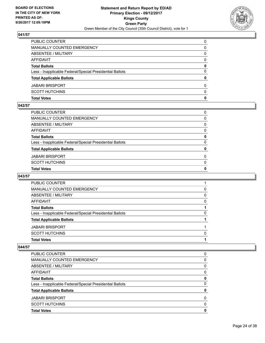

| <b>Total Votes</b>                                       | 0        |
|----------------------------------------------------------|----------|
| <b>SCOTT HUTCHINS</b>                                    | $\Omega$ |
| <b>JABARI BRISPORT</b>                                   | $\Omega$ |
| <b>Total Applicable Ballots</b>                          | 0        |
| Less - Inapplicable Federal/Special Presidential Ballots | $\Omega$ |
| <b>Total Ballots</b>                                     | 0        |
| <b>AFFIDAVIT</b>                                         | $\Omega$ |
| <b>ABSENTEE / MILITARY</b>                               | 0        |
| <b>MANUALLY COUNTED EMERGENCY</b>                        | 0        |
| PUBLIC COUNTER                                           | $\Omega$ |

## **042/57**

| <b>Total Votes</b>                                       | 0            |
|----------------------------------------------------------|--------------|
| SCOTT HUTCHINS                                           | $\mathbf{0}$ |
| JABARI BRISPORT                                          | 0            |
| <b>Total Applicable Ballots</b>                          | 0            |
| Less - Inapplicable Federal/Special Presidential Ballots | $\Omega$     |
| <b>Total Ballots</b>                                     | 0            |
| AFFIDAVIT                                                | $\Omega$     |
| ABSENTEE / MILITARY                                      | $\mathbf{0}$ |
| MANUALLY COUNTED EMERGENCY                               | $\Omega$     |
| PUBLIC COUNTER                                           | 0            |

## **043/57**

| PUBLIC COUNTER                                           |   |
|----------------------------------------------------------|---|
| MANUALLY COUNTED EMERGENCY                               | 0 |
| ABSENTEE / MILITARY                                      | 0 |
| <b>AFFIDAVIT</b>                                         | 0 |
| <b>Total Ballots</b>                                     |   |
| Less - Inapplicable Federal/Special Presidential Ballots | 0 |
| <b>Total Applicable Ballots</b>                          |   |
| <b>JABARI BRISPORT</b>                                   |   |
| <b>SCOTT HUTCHINS</b>                                    | 0 |
| <b>Total Votes</b>                                       |   |
|                                                          |   |

| <b>Total Votes</b>                                       | 0 |
|----------------------------------------------------------|---|
| <b>SCOTT HUTCHINS</b>                                    | 0 |
| <b>JABARI BRISPORT</b>                                   | 0 |
| <b>Total Applicable Ballots</b>                          | 0 |
| Less - Inapplicable Federal/Special Presidential Ballots | 0 |
| <b>Total Ballots</b>                                     | 0 |
| AFFIDAVIT                                                | 0 |
| ABSENTEE / MILITARY                                      | 0 |
| <b>MANUALLY COUNTED EMERGENCY</b>                        | 0 |
| <b>PUBLIC COUNTER</b>                                    | 0 |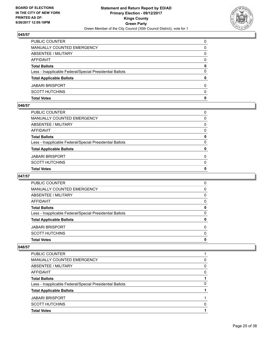

| <b>Total Votes</b>                                       | 0        |
|----------------------------------------------------------|----------|
| <b>SCOTT HUTCHINS</b>                                    | $\Omega$ |
| <b>JABARI BRISPORT</b>                                   | $\Omega$ |
| <b>Total Applicable Ballots</b>                          | 0        |
| Less - Inapplicable Federal/Special Presidential Ballots | $\Omega$ |
| <b>Total Ballots</b>                                     | 0        |
| <b>AFFIDAVIT</b>                                         | 0        |
| ABSENTEE / MILITARY                                      | 0        |
| <b>MANUALLY COUNTED EMERGENCY</b>                        | 0        |
| <b>PUBLIC COUNTER</b>                                    | 0        |

### **046/57**

| <b>Total Votes</b>                                       | 0            |
|----------------------------------------------------------|--------------|
| SCOTT HUTCHINS                                           | $\mathbf{0}$ |
| JABARI BRISPORT                                          | 0            |
| <b>Total Applicable Ballots</b>                          | 0            |
| Less - Inapplicable Federal/Special Presidential Ballots | $\Omega$     |
| <b>Total Ballots</b>                                     | 0            |
| AFFIDAVIT                                                | $\Omega$     |
| ABSENTEE / MILITARY                                      | $\mathbf{0}$ |
| MANUALLY COUNTED EMERGENCY                               | $\Omega$     |
| PUBLIC COUNTER                                           | 0            |

# **047/57**

| <b>Total Votes</b>                                       | 0        |
|----------------------------------------------------------|----------|
| <b>SCOTT HUTCHINS</b>                                    | $\Omega$ |
| <b>JABARI BRISPORT</b>                                   | 0        |
| <b>Total Applicable Ballots</b>                          | 0        |
| Less - Inapplicable Federal/Special Presidential Ballots | 0        |
| <b>Total Ballots</b>                                     | 0        |
| AFFIDAVIT                                                | 0        |
| ABSENTEE / MILITARY                                      | 0        |
| MANUALLY COUNTED EMERGENCY                               | 0        |
| <b>PUBLIC COUNTER</b>                                    | 0        |

| <b>Total Applicable Ballots</b>                          |   |
|----------------------------------------------------------|---|
| Less - Inapplicable Federal/Special Presidential Ballots | 0 |
| <b>Total Ballots</b>                                     |   |
| AFFIDAVIT                                                | 0 |
| ABSENTEE / MILITARY                                      | 0 |
| MANUALLY COUNTED EMERGENCY                               | 0 |
| <b>PUBLIC COUNTER</b>                                    |   |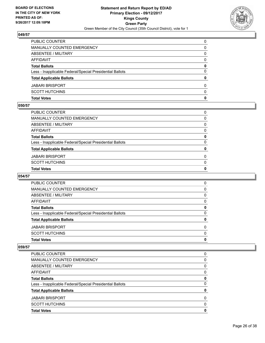

| <b>Total Votes</b>                                       | 0        |
|----------------------------------------------------------|----------|
| <b>SCOTT HUTCHINS</b>                                    | $\Omega$ |
| <b>JABARI BRISPORT</b>                                   | $\Omega$ |
| <b>Total Applicable Ballots</b>                          | 0        |
| Less - Inapplicable Federal/Special Presidential Ballots | $\Omega$ |
| <b>Total Ballots</b>                                     | 0        |
| <b>AFFIDAVIT</b>                                         | 0        |
| ABSENTEE / MILITARY                                      | 0        |
| <b>MANUALLY COUNTED EMERGENCY</b>                        | 0        |
| <b>PUBLIC COUNTER</b>                                    | 0        |

## **050/57**

| <b>Total Votes</b>                                       | 0            |
|----------------------------------------------------------|--------------|
| SCOTT HUTCHINS                                           | $\mathbf{0}$ |
| JABARI BRISPORT                                          | 0            |
| <b>Total Applicable Ballots</b>                          | 0            |
| Less - Inapplicable Federal/Special Presidential Ballots | $\Omega$     |
| <b>Total Ballots</b>                                     | 0            |
| AFFIDAVIT                                                | $\Omega$     |
| ABSENTEE / MILITARY                                      | $\mathbf{0}$ |
| MANUALLY COUNTED EMERGENCY                               | $\Omega$     |
| PUBLIC COUNTER                                           | 0            |

# **054/57**

| <b>Total Votes</b>                                       | 0        |
|----------------------------------------------------------|----------|
| <b>SCOTT HUTCHINS</b>                                    | $\Omega$ |
| <b>JABARI BRISPORT</b>                                   | 0        |
| <b>Total Applicable Ballots</b>                          | 0        |
| Less - Inapplicable Federal/Special Presidential Ballots | 0        |
| <b>Total Ballots</b>                                     | 0        |
| AFFIDAVIT                                                | 0        |
| ABSENTEE / MILITARY                                      | 0        |
| MANUALLY COUNTED EMERGENCY                               | 0        |
| <b>PUBLIC COUNTER</b>                                    | 0        |

| <b>Total Votes</b>                                       | 0 |
|----------------------------------------------------------|---|
| <b>SCOTT HUTCHINS</b>                                    | 0 |
| <b>JABARI BRISPORT</b>                                   | 0 |
| <b>Total Applicable Ballots</b>                          | 0 |
| Less - Inapplicable Federal/Special Presidential Ballots | 0 |
| <b>Total Ballots</b>                                     | 0 |
| AFFIDAVIT                                                | 0 |
| ABSENTEE / MILITARY                                      | 0 |
| MANUALLY COUNTED EMERGENCY                               | 0 |
| <b>PUBLIC COUNTER</b>                                    | 0 |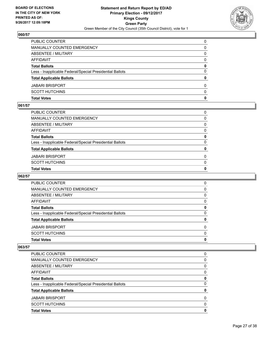

| <b>Total Votes</b>                                       | 0        |
|----------------------------------------------------------|----------|
| <b>SCOTT HUTCHINS</b>                                    | $\Omega$ |
| <b>JABARI BRISPORT</b>                                   | $\Omega$ |
| <b>Total Applicable Ballots</b>                          | 0        |
| Less - Inapplicable Federal/Special Presidential Ballots | $\Omega$ |
| <b>Total Ballots</b>                                     | 0        |
| <b>AFFIDAVIT</b>                                         | 0        |
| ABSENTEE / MILITARY                                      | 0        |
| <b>MANUALLY COUNTED EMERGENCY</b>                        | 0        |
| <b>PUBLIC COUNTER</b>                                    | 0        |

### **061/57**

| PUBLIC COUNTER                                           | 0            |
|----------------------------------------------------------|--------------|
| MANUALLY COUNTED EMERGENCY                               | $\Omega$     |
| ABSENTEE / MILITARY                                      | $\mathbf{0}$ |
| AFFIDAVIT                                                | $\mathbf{0}$ |
| Total Ballots                                            | 0            |
| Less - Inapplicable Federal/Special Presidential Ballots | $\Omega$     |
| <b>Total Applicable Ballots</b>                          | 0            |
| JABARI BRISPORT                                          | $\Omega$     |
| SCOTT HUTCHINS                                           | $\mathbf{0}$ |
| <b>Total Votes</b>                                       | $\mathbf{0}$ |
|                                                          |              |

# **062/57**

| <b>Total Votes</b>                                       | 0        |
|----------------------------------------------------------|----------|
| <b>SCOTT HUTCHINS</b>                                    | $\Omega$ |
| <b>JABARI BRISPORT</b>                                   | $\Omega$ |
| <b>Total Applicable Ballots</b>                          | 0        |
| Less - Inapplicable Federal/Special Presidential Ballots | 0        |
| <b>Total Ballots</b>                                     | 0        |
| AFFIDAVIT                                                | 0        |
| ABSENTEE / MILITARY                                      | 0        |
| MANUALLY COUNTED EMERGENCY                               | 0        |
| PUBLIC COUNTER                                           | 0        |

| <b>Total Votes</b>                                       | O |
|----------------------------------------------------------|---|
| <b>SCOTT HUTCHINS</b>                                    | 0 |
| <b>JABARI BRISPORT</b>                                   | 0 |
| <b>Total Applicable Ballots</b>                          |   |
| Less - Inapplicable Federal/Special Presidential Ballots | 0 |
| <b>Total Ballots</b>                                     | 0 |
| AFFIDAVIT                                                | 0 |
| ABSENTEE / MILITARY                                      | 0 |
| MANUALLY COUNTED EMERGENCY                               | 0 |
| <b>PUBLIC COUNTER</b>                                    | 0 |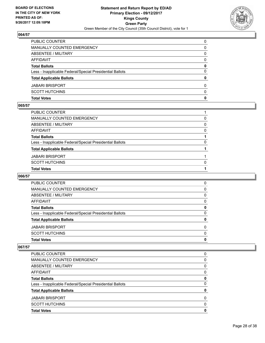

| <b>Total Votes</b>                                       | 0        |
|----------------------------------------------------------|----------|
| <b>SCOTT HUTCHINS</b>                                    | $\Omega$ |
| <b>JABARI BRISPORT</b>                                   | $\Omega$ |
| <b>Total Applicable Ballots</b>                          | 0        |
| Less - Inapplicable Federal/Special Presidential Ballots | $\Omega$ |
| <b>Total Ballots</b>                                     | 0        |
| <b>AFFIDAVIT</b>                                         | 0        |
| ABSENTEE / MILITARY                                      | 0        |
| <b>MANUALLY COUNTED EMERGENCY</b>                        | 0        |
| <b>PUBLIC COUNTER</b>                                    | 0        |

#### **065/57**

| PUBLIC COUNTER                                           |          |
|----------------------------------------------------------|----------|
| MANUALLY COUNTED EMERGENCY                               | 0        |
| ABSENTEE / MILITARY                                      | $\Omega$ |
| AFFIDAVIT                                                | 0        |
| <b>Total Ballots</b>                                     |          |
| Less - Inapplicable Federal/Special Presidential Ballots | 0        |
| <b>Total Applicable Ballots</b>                          |          |
| JABARI BRISPORT                                          |          |
| SCOTT HUTCHINS                                           | $\Omega$ |
| <b>Total Votes</b>                                       |          |
|                                                          |          |

# **066/57**

| <b>Total Votes</b>                                       | 0        |
|----------------------------------------------------------|----------|
| <b>SCOTT HUTCHINS</b>                                    | $\Omega$ |
| <b>JABARI BRISPORT</b>                                   | $\Omega$ |
| <b>Total Applicable Ballots</b>                          | 0        |
| Less - Inapplicable Federal/Special Presidential Ballots | 0        |
| <b>Total Ballots</b>                                     | 0        |
| AFFIDAVIT                                                | 0        |
| ABSENTEE / MILITARY                                      | 0        |
| MANUALLY COUNTED EMERGENCY                               | 0        |
| PUBLIC COUNTER                                           | 0        |

| <b>Total Votes</b>                                       | 0 |
|----------------------------------------------------------|---|
| <b>SCOTT HUTCHINS</b>                                    | 0 |
| <b>JABARI BRISPORT</b>                                   | 0 |
| <b>Total Applicable Ballots</b>                          | 0 |
| Less - Inapplicable Federal/Special Presidential Ballots | 0 |
| <b>Total Ballots</b>                                     | 0 |
| AFFIDAVIT                                                | 0 |
| ABSENTEE / MILITARY                                      | 0 |
| MANUALLY COUNTED EMERGENCY                               | 0 |
| PUBLIC COUNTER                                           | 0 |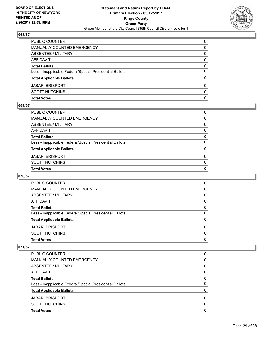

| <b>Total Votes</b>                                       | 0        |
|----------------------------------------------------------|----------|
| <b>SCOTT HUTCHINS</b>                                    | $\Omega$ |
| <b>JABARI BRISPORT</b>                                   | $\Omega$ |
| <b>Total Applicable Ballots</b>                          | 0        |
| Less - Inapplicable Federal/Special Presidential Ballots | $\Omega$ |
| <b>Total Ballots</b>                                     | 0        |
| <b>AFFIDAVIT</b>                                         | 0        |
| ABSENTEE / MILITARY                                      | 0        |
| <b>MANUALLY COUNTED EMERGENCY</b>                        | 0        |
| <b>PUBLIC COUNTER</b>                                    | 0        |

#### **069/57**

| PUBLIC COUNTER                                           | 0            |
|----------------------------------------------------------|--------------|
| MANUALLY COUNTED EMERGENCY                               | $\Omega$     |
| ABSENTEE / MILITARY                                      | $\mathbf{0}$ |
| AFFIDAVIT                                                | $\mathbf{0}$ |
| Total Ballots                                            | 0            |
| Less - Inapplicable Federal/Special Presidential Ballots | $\Omega$     |
| <b>Total Applicable Ballots</b>                          | 0            |
| JABARI BRISPORT                                          | $\Omega$     |
| SCOTT HUTCHINS                                           | $\mathbf{0}$ |
| <b>Total Votes</b>                                       | $\mathbf{0}$ |
|                                                          |              |

# **070/57**

| <b>Total Votes</b>                                       | 0        |
|----------------------------------------------------------|----------|
| <b>SCOTT HUTCHINS</b>                                    | $\Omega$ |
| <b>JABARI BRISPORT</b>                                   | $\Omega$ |
| <b>Total Applicable Ballots</b>                          | 0        |
| Less - Inapplicable Federal/Special Presidential Ballots | 0        |
| <b>Total Ballots</b>                                     | 0        |
| AFFIDAVIT                                                | 0        |
| ABSENTEE / MILITARY                                      | 0        |
| MANUALLY COUNTED EMERGENCY                               | 0        |
| PUBLIC COUNTER                                           | 0        |

| <b>Total Votes</b>                                       | 0        |
|----------------------------------------------------------|----------|
| <b>SCOTT HUTCHINS</b>                                    | 0        |
| <b>JABARI BRISPORT</b>                                   | $\Omega$ |
| <b>Total Applicable Ballots</b>                          | 0        |
| Less - Inapplicable Federal/Special Presidential Ballots | 0        |
| <b>Total Ballots</b>                                     | 0        |
| AFFIDAVIT                                                | 0        |
| ABSENTEE / MILITARY                                      | 0        |
| MANUALLY COUNTED EMERGENCY                               | 0        |
| <b>PUBLIC COUNTER</b>                                    | 0        |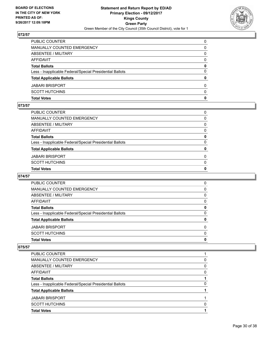

| <b>Total Votes</b>                                       | 0            |
|----------------------------------------------------------|--------------|
| <b>SCOTT HUTCHINS</b>                                    | $\Omega$     |
| <b>JABARI BRISPORT</b>                                   | $\Omega$     |
| <b>Total Applicable Ballots</b>                          | $\mathbf{0}$ |
| Less - Inapplicable Federal/Special Presidential Ballots | $\Omega$     |
| <b>Total Ballots</b>                                     | 0            |
| <b>AFFIDAVIT</b>                                         | $\Omega$     |
| <b>ABSENTEE / MILITARY</b>                               | 0            |
| MANUALLY COUNTED EMERGENCY                               | 0            |
| PUBLIC COUNTER                                           | 0            |

### **073/57**

| <b>Total Votes</b>                                       | 0            |
|----------------------------------------------------------|--------------|
| SCOTT HUTCHINS                                           | $\mathbf{0}$ |
| JABARI BRISPORT                                          | 0            |
| <b>Total Applicable Ballots</b>                          | 0            |
| Less - Inapplicable Federal/Special Presidential Ballots | $\Omega$     |
| <b>Total Ballots</b>                                     | 0            |
| AFFIDAVIT                                                | $\Omega$     |
| ABSENTEE / MILITARY                                      | $\mathbf{0}$ |
| MANUALLY COUNTED EMERGENCY                               | $\Omega$     |
| PUBLIC COUNTER                                           | 0            |

## **074/57**

| <b>Total Votes</b>                                       | 0        |
|----------------------------------------------------------|----------|
| <b>SCOTT HUTCHINS</b>                                    | $\Omega$ |
| <b>JABARI BRISPORT</b>                                   | $\Omega$ |
| <b>Total Applicable Ballots</b>                          | 0        |
| Less - Inapplicable Federal/Special Presidential Ballots | 0        |
| <b>Total Ballots</b>                                     | 0        |
| AFFIDAVIT                                                | 0        |
| ABSENTEE / MILITARY                                      | 0        |
| MANUALLY COUNTED EMERGENCY                               | 0        |
| PUBLIC COUNTER                                           | 0        |

| <b>Total Applicable Ballots</b>                          |   |
|----------------------------------------------------------|---|
| Less - Inapplicable Federal/Special Presidential Ballots | 0 |
| <b>Total Ballots</b>                                     |   |
| AFFIDAVIT                                                | 0 |
| ABSENTEE / MILITARY                                      | 0 |
| MANUALLY COUNTED EMERGENCY                               | 0 |
| <b>PUBLIC COUNTER</b>                                    |   |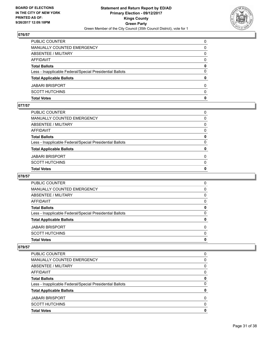

| <b>Total Votes</b>                                       | 0        |
|----------------------------------------------------------|----------|
| <b>SCOTT HUTCHINS</b>                                    | $\Omega$ |
| <b>JABARI BRISPORT</b>                                   | $\Omega$ |
| <b>Total Applicable Ballots</b>                          | 0        |
| Less - Inapplicable Federal/Special Presidential Ballots | $\Omega$ |
| <b>Total Ballots</b>                                     | 0        |
| <b>AFFIDAVIT</b>                                         | 0        |
| ABSENTEE / MILITARY                                      | 0        |
| <b>MANUALLY COUNTED EMERGENCY</b>                        | 0        |
| <b>PUBLIC COUNTER</b>                                    | 0        |

#### **077/57**

| <b>Total Votes</b>                                       | 0            |
|----------------------------------------------------------|--------------|
| SCOTT HUTCHINS                                           | $\mathbf{0}$ |
| JABARI BRISPORT                                          | 0            |
| <b>Total Applicable Ballots</b>                          | 0            |
| Less - Inapplicable Federal/Special Presidential Ballots | $\Omega$     |
| <b>Total Ballots</b>                                     | 0            |
| AFFIDAVIT                                                | $\Omega$     |
| ABSENTEE / MILITARY                                      | $\mathbf{0}$ |
| MANUALLY COUNTED EMERGENCY                               | $\Omega$     |
| PUBLIC COUNTER                                           | 0            |

# **078/57**

| <b>Total Votes</b>                                       | 0        |
|----------------------------------------------------------|----------|
| <b>SCOTT HUTCHINS</b>                                    | $\Omega$ |
| <b>JABARI BRISPORT</b>                                   | $\Omega$ |
| <b>Total Applicable Ballots</b>                          | 0        |
| Less - Inapplicable Federal/Special Presidential Ballots | 0        |
| <b>Total Ballots</b>                                     | 0        |
| AFFIDAVIT                                                | 0        |
| ABSENTEE / MILITARY                                      | 0        |
| MANUALLY COUNTED EMERGENCY                               | 0        |
| PUBLIC COUNTER                                           | 0        |

| <b>Total Votes</b>                                       | 0 |
|----------------------------------------------------------|---|
| <b>SCOTT HUTCHINS</b>                                    | 0 |
| <b>JABARI BRISPORT</b>                                   | 0 |
| <b>Total Applicable Ballots</b>                          | 0 |
| Less - Inapplicable Federal/Special Presidential Ballots | 0 |
| <b>Total Ballots</b>                                     | 0 |
| AFFIDAVIT                                                | 0 |
| ABSENTEE / MILITARY                                      | 0 |
| MANUALLY COUNTED EMERGENCY                               | 0 |
| PUBLIC COUNTER                                           | 0 |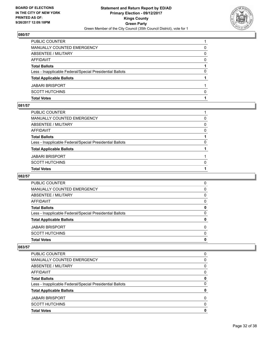

| <b>Total Votes</b>                                       |              |
|----------------------------------------------------------|--------------|
| <b>SCOTT HUTCHINS</b>                                    | <sup>0</sup> |
| <b>JABARI BRISPORT</b>                                   |              |
| <b>Total Applicable Ballots</b>                          |              |
| Less - Inapplicable Federal/Special Presidential Ballots | 0            |
| <b>Total Ballots</b>                                     |              |
| <b>AFFIDAVIT</b>                                         | 0            |
| <b>ABSENTEE / MILITARY</b>                               | 0            |
| MANUALLY COUNTED EMERGENCY                               | 0            |
| PUBLIC COUNTER                                           |              |

## **081/57**

| PUBLIC COUNTER                                           |          |
|----------------------------------------------------------|----------|
| MANUALLY COUNTED EMERGENCY                               | 0        |
| ABSENTEE / MILITARY                                      | $\Omega$ |
| AFFIDAVIT                                                | 0        |
| <b>Total Ballots</b>                                     |          |
| Less - Inapplicable Federal/Special Presidential Ballots | 0        |
| <b>Total Applicable Ballots</b>                          |          |
| JABARI BRISPORT                                          |          |
| SCOTT HUTCHINS                                           | $\Omega$ |
| <b>Total Votes</b>                                       |          |
|                                                          |          |

# **082/57**

| <b>Total Votes</b>                                       | 0        |
|----------------------------------------------------------|----------|
| <b>SCOTT HUTCHINS</b>                                    | $\Omega$ |
| <b>JABARI BRISPORT</b>                                   | $\Omega$ |
| <b>Total Applicable Ballots</b>                          | 0        |
| Less - Inapplicable Federal/Special Presidential Ballots | 0        |
| <b>Total Ballots</b>                                     | 0        |
| AFFIDAVIT                                                | 0        |
| ABSENTEE / MILITARY                                      | 0        |
| MANUALLY COUNTED EMERGENCY                               | 0        |
| PUBLIC COUNTER                                           | 0        |

| <b>Total Votes</b>                                       | 0 |
|----------------------------------------------------------|---|
| <b>SCOTT HUTCHINS</b>                                    | 0 |
| <b>JABARI BRISPORT</b>                                   | 0 |
| <b>Total Applicable Ballots</b>                          | 0 |
| Less - Inapplicable Federal/Special Presidential Ballots | 0 |
| <b>Total Ballots</b>                                     | 0 |
| AFFIDAVIT                                                | 0 |
| ABSENTEE / MILITARY                                      | 0 |
| MANUALLY COUNTED EMERGENCY                               | 0 |
| PUBLIC COUNTER                                           | 0 |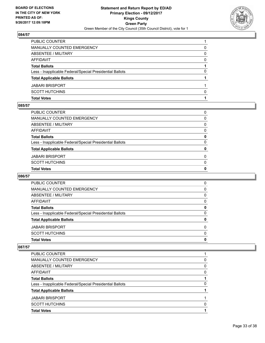

| <b>Total Votes</b>                                       |              |
|----------------------------------------------------------|--------------|
| <b>SCOTT HUTCHINS</b>                                    | <sup>0</sup> |
| <b>JABARI BRISPORT</b>                                   |              |
| <b>Total Applicable Ballots</b>                          |              |
| Less - Inapplicable Federal/Special Presidential Ballots | 0            |
| <b>Total Ballots</b>                                     |              |
| <b>AFFIDAVIT</b>                                         | 0            |
| ABSENTEE / MILITARY                                      | 0            |
| MANUALLY COUNTED EMERGENCY                               | 0            |
| PUBLIC COUNTER                                           |              |

#### **085/57**

| <b>Total Votes</b>                                       | 0            |
|----------------------------------------------------------|--------------|
| SCOTT HUTCHINS                                           | $\mathbf{0}$ |
| JABARI BRISPORT                                          | 0            |
| <b>Total Applicable Ballots</b>                          | 0            |
| Less - Inapplicable Federal/Special Presidential Ballots | $\Omega$     |
| <b>Total Ballots</b>                                     | 0            |
| AFFIDAVIT                                                | $\Omega$     |
| ABSENTEE / MILITARY                                      | $\mathbf{0}$ |
| MANUALLY COUNTED EMERGENCY                               | $\Omega$     |
| PUBLIC COUNTER                                           | 0            |

# **086/57**

| <b>Total Votes</b>                                       | 0        |
|----------------------------------------------------------|----------|
| <b>SCOTT HUTCHINS</b>                                    | $\Omega$ |
| <b>JABARI BRISPORT</b>                                   | $\Omega$ |
| <b>Total Applicable Ballots</b>                          | 0        |
| Less - Inapplicable Federal/Special Presidential Ballots | 0        |
| <b>Total Ballots</b>                                     | 0        |
| AFFIDAVIT                                                | 0        |
| ABSENTEE / MILITARY                                      | 0        |
| MANUALLY COUNTED EMERGENCY                               | 0        |
| PUBLIC COUNTER                                           | 0        |

| PUBLIC COUNTER                                           |   |
|----------------------------------------------------------|---|
| MANUALLY COUNTED EMERGENCY                               | 0 |
| ABSENTEE / MILITARY                                      | 0 |
| AFFIDAVIT                                                | 0 |
| <b>Total Ballots</b>                                     |   |
| Less - Inapplicable Federal/Special Presidential Ballots | 0 |
| <b>Total Applicable Ballots</b>                          |   |
| <b>JABARI BRISPORT</b>                                   |   |
| <b>SCOTT HUTCHINS</b>                                    | 0 |
| <b>Total Votes</b>                                       |   |
|                                                          |   |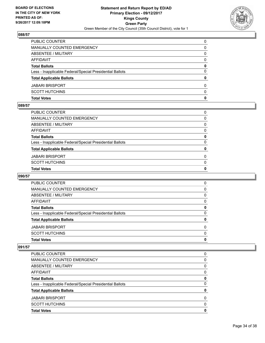

| <b>Total Votes</b>                                       | 0        |
|----------------------------------------------------------|----------|
| <b>SCOTT HUTCHINS</b>                                    | $\Omega$ |
| <b>JABARI BRISPORT</b>                                   | $\Omega$ |
| <b>Total Applicable Ballots</b>                          | 0        |
| Less - Inapplicable Federal/Special Presidential Ballots | $\Omega$ |
| <b>Total Ballots</b>                                     | 0        |
| <b>AFFIDAVIT</b>                                         | 0        |
| ABSENTEE / MILITARY                                      | 0        |
| <b>MANUALLY COUNTED EMERGENCY</b>                        | 0        |
| <b>PUBLIC COUNTER</b>                                    | 0        |

### **089/57**

| <b>Total Votes</b>                                       | 0            |
|----------------------------------------------------------|--------------|
| SCOTT HUTCHINS                                           | $\mathbf{0}$ |
| JABARI BRISPORT                                          | 0            |
| <b>Total Applicable Ballots</b>                          | 0            |
| Less - Inapplicable Federal/Special Presidential Ballots | $\Omega$     |
| <b>Total Ballots</b>                                     | 0            |
| AFFIDAVIT                                                | $\Omega$     |
| ABSENTEE / MILITARY                                      | $\mathbf{0}$ |
| MANUALLY COUNTED EMERGENCY                               | $\Omega$     |
| PUBLIC COUNTER                                           | 0            |

# **090/57**

| <b>Total Votes</b>                                       | 0        |
|----------------------------------------------------------|----------|
| <b>SCOTT HUTCHINS</b>                                    | $\Omega$ |
| <b>JABARI BRISPORT</b>                                   | 0        |
| <b>Total Applicable Ballots</b>                          | 0        |
| Less - Inapplicable Federal/Special Presidential Ballots | 0        |
| <b>Total Ballots</b>                                     | 0        |
| AFFIDAVIT                                                | 0        |
| ABSENTEE / MILITARY                                      | 0        |
| MANUALLY COUNTED EMERGENCY                               | 0        |
| <b>PUBLIC COUNTER</b>                                    | 0        |

| <b>Total Votes</b>                                       | 0        |
|----------------------------------------------------------|----------|
| <b>SCOTT HUTCHINS</b>                                    | 0        |
| <b>JABARI BRISPORT</b>                                   | $\Omega$ |
| <b>Total Applicable Ballots</b>                          | 0        |
| Less - Inapplicable Federal/Special Presidential Ballots | 0        |
| <b>Total Ballots</b>                                     | 0        |
| AFFIDAVIT                                                | 0        |
| ABSENTEE / MILITARY                                      | 0        |
| MANUALLY COUNTED EMERGENCY                               | 0        |
| <b>PUBLIC COUNTER</b>                                    | 0        |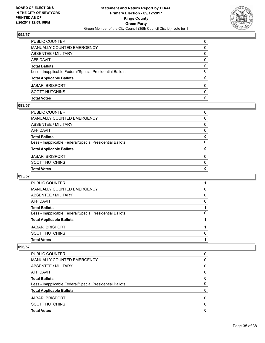

| <b>Total Votes</b>                                       | 0        |
|----------------------------------------------------------|----------|
| <b>SCOTT HUTCHINS</b>                                    | $\Omega$ |
| <b>JABARI BRISPORT</b>                                   | $\Omega$ |
| <b>Total Applicable Ballots</b>                          | 0        |
| Less - Inapplicable Federal/Special Presidential Ballots | $\Omega$ |
| <b>Total Ballots</b>                                     | 0        |
| <b>AFFIDAVIT</b>                                         | 0        |
| ABSENTEE / MILITARY                                      | 0        |
| MANUALLY COUNTED EMERGENCY                               | 0        |
| PUBLIC COUNTER                                           | $\Omega$ |

### **093/57**

| <b>SCOTT HUTCHINS</b>                                    | $\Omega$     |
|----------------------------------------------------------|--------------|
| <b>JABARI BRISPORT</b>                                   | $\Omega$     |
| <b>Total Applicable Ballots</b>                          | $\mathbf{0}$ |
| Less - Inapplicable Federal/Special Presidential Ballots | $\Omega$     |
| <b>Total Ballots</b>                                     | 0            |
| AFFIDAVIT                                                | 0            |
| ABSENTEE / MILITARY                                      | 0            |
| <b>MANUALLY COUNTED EMERGENCY</b>                        | 0            |
| PUBLIC COUNTER                                           | 0            |

# **095/57**

| PUBLIC COUNTER                                           |   |
|----------------------------------------------------------|---|
| MANUALLY COUNTED EMERGENCY                               | 0 |
| ABSENTEE / MILITARY                                      | 0 |
| AFFIDAVIT                                                | 0 |
| <b>Total Ballots</b>                                     |   |
| Less - Inapplicable Federal/Special Presidential Ballots | 0 |
| <b>Total Applicable Ballots</b>                          |   |
| <b>JABARI BRISPORT</b>                                   |   |
| <b>SCOTT HUTCHINS</b>                                    | 0 |
| <b>Total Votes</b>                                       |   |
|                                                          |   |

| <b>Total Votes</b>                                       | O |
|----------------------------------------------------------|---|
| <b>SCOTT HUTCHINS</b>                                    | 0 |
| <b>JABARI BRISPORT</b>                                   | 0 |
| <b>Total Applicable Ballots</b>                          | 0 |
| Less - Inapplicable Federal/Special Presidential Ballots | 0 |
| <b>Total Ballots</b>                                     | 0 |
| AFFIDAVIT                                                | 0 |
| <b>ABSENTEE / MILITARY</b>                               | 0 |
| <b>MANUALLY COUNTED EMERGENCY</b>                        | 0 |
| PUBLIC COUNTER                                           | O |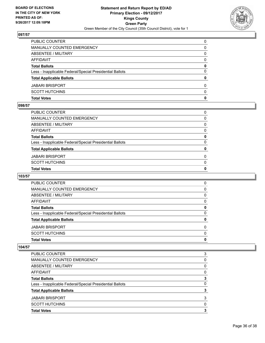

| <b>Total Votes</b>                                       | 0        |
|----------------------------------------------------------|----------|
| <b>SCOTT HUTCHINS</b>                                    | $\Omega$ |
| <b>JABARI BRISPORT</b>                                   | $\Omega$ |
| <b>Total Applicable Ballots</b>                          | 0        |
| Less - Inapplicable Federal/Special Presidential Ballots | $\Omega$ |
| <b>Total Ballots</b>                                     | 0        |
| <b>AFFIDAVIT</b>                                         | 0        |
| ABSENTEE / MILITARY                                      | 0        |
| <b>MANUALLY COUNTED EMERGENCY</b>                        | 0        |
| <b>PUBLIC COUNTER</b>                                    | 0        |

#### **098/57**

| PUBLIC COUNTER                                           | 0            |
|----------------------------------------------------------|--------------|
| MANUALLY COUNTED EMERGENCY                               | 0            |
| ABSENTEE / MILITARY                                      | $\Omega$     |
| AFFIDAVIT                                                | 0            |
| <b>Total Ballots</b>                                     | 0            |
| Less - Inapplicable Federal/Special Presidential Ballots | $\Omega$     |
| <b>Total Applicable Ballots</b>                          | 0            |
| JABARI BRISPORT                                          | 0            |
| SCOTT HUTCHINS                                           | $\mathbf{0}$ |
| <b>Total Votes</b>                                       | $\mathbf{0}$ |
|                                                          |              |

# **103/57**

| <b>Total Votes</b>                                       | 0        |
|----------------------------------------------------------|----------|
| <b>SCOTT HUTCHINS</b>                                    | $\Omega$ |
| <b>JABARI BRISPORT</b>                                   | $\Omega$ |
| <b>Total Applicable Ballots</b>                          | 0        |
| Less - Inapplicable Federal/Special Presidential Ballots | 0        |
| <b>Total Ballots</b>                                     | 0        |
| AFFIDAVIT                                                | 0        |
| ABSENTEE / MILITARY                                      | 0        |
| MANUALLY COUNTED EMERGENCY                               | 0        |
| PUBLIC COUNTER                                           | 0        |

| <b>Total Votes</b>                                       | 3 |
|----------------------------------------------------------|---|
| <b>SCOTT HUTCHINS</b>                                    | 0 |
| <b>JABARI BRISPORT</b>                                   | 3 |
| <b>Total Applicable Ballots</b>                          | 3 |
| Less - Inapplicable Federal/Special Presidential Ballots | 0 |
| <b>Total Ballots</b>                                     | 3 |
| AFFIDAVIT                                                | 0 |
| ABSENTEE / MILITARY                                      | 0 |
| <b>MANUALLY COUNTED EMERGENCY</b>                        | 0 |
| PUBLIC COUNTER                                           | 3 |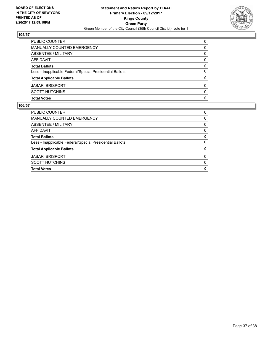

| <b>Total Votes</b>                                       | 0            |
|----------------------------------------------------------|--------------|
| <b>SCOTT HUTCHINS</b>                                    | $\Omega$     |
| <b>JABARI BRISPORT</b>                                   | 0            |
| <b>Total Applicable Ballots</b>                          | $\mathbf{0}$ |
| Less - Inapplicable Federal/Special Presidential Ballots | 0            |
| <b>Total Ballots</b>                                     | 0            |
| <b>AFFIDAVIT</b>                                         | 0            |
| <b>ABSENTEE / MILITARY</b>                               | 0            |
| MANUALLY COUNTED EMERGENCY                               | 0            |
| PUBLIC COUNTER                                           | 0            |

| <b>Total Votes</b>                                       | 0        |
|----------------------------------------------------------|----------|
| <b>SCOTT HUTCHINS</b>                                    | $\Omega$ |
| <b>JABARI BRISPORT</b>                                   | 0        |
| <b>Total Applicable Ballots</b>                          | 0        |
| Less - Inapplicable Federal/Special Presidential Ballots | 0        |
| <b>Total Ballots</b>                                     | 0        |
| AFFIDAVIT                                                | 0        |
| ABSENTEE / MILITARY                                      | 0        |
| MANUALLY COUNTED EMERGENCY                               | 0        |
| <b>PUBLIC COUNTER</b>                                    | 0        |